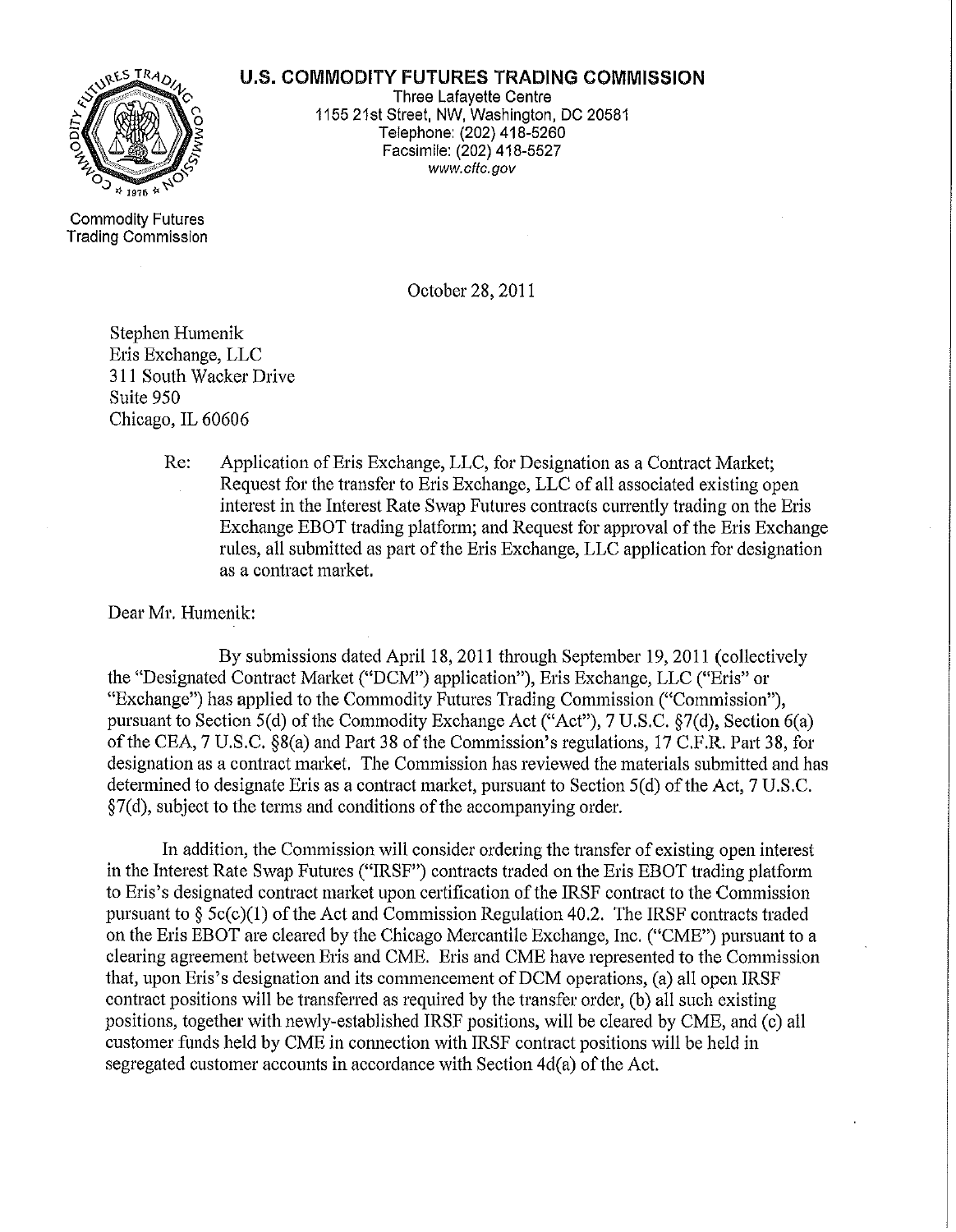## **U.S. COMMODITY FUTURES TRADING COMMISSION**



Three Lafayette Centre 1155 21st Street, NW, Washington, DC 20581 Telephone: (202) 418-5260 Facsimile: (202) 418-5527 www.cftc.gov

Commodity Futures Trading Commission

October 28, 2011

Stephen Humenik Eris Exchange, LLC 311 South Wacker Drive Suite 950 Chicago, IL 60606

> Re: Application of Eris Exchange, LLC, for Designation as a Contract Market; Request for the transfer to Eris Exchange, LLC of all associated existing open interest in the Interest Rate Swap Futures contracts currently trading on the Eris Exchange EBOT trading platform; and Request for approval of the Eris Exchange rules, all submitted as part of the Eris Exchange, LLC application for designation as a contract market.

Dear Mr. Humenik:

By submissions dated April 18, 2011 through September 19,2011 (collectively the "Designated Contract Market ("DCM") application"), Eris Exchange, LLC ("Eris" or "Exchange") has applied to the Commodity Futures Trading Commission ("Commission"), pursuant to Section 5(d) of the Commodity Exchange Act ("Act"), 7 U.S.C.  $\frac{87}{d}$ , Section 6(a) of the CEA, 7 U.S.C. §8(a) and Part 38 of the Commission's regulations, 17 C.F.R. Part 38, for designation as a contract market. The Commission has reviewed the materials submitted and has determined to designate Eris as a contract market, pursuant to Section  $5(d)$  of the Act,  $7 U.S.C.$  $\S7(d)$ , subject to the terms and conditions of the accompanying order.

In addition, the Commission will consider ordering the transfer of existing open interest in the Interest Rate Swap Futures ("IRSF") contracts traded on the Eris EBOT trading platform to Eris's designated contract market upon certification of the IRSF contract to the Commission pursuant to  $\S$  5c(c)(1) of the Act and Commission Regulation 40.2. The IRSF contracts traded on the Eris EBOT are cleared by the Chicago Mercantile Exchange, Inc. ("CME") pursuant to a clearing agreement between Eris and CME. Eris and CME have represented to the Commission that, upon Eris's designation and its commencement of DCM operations, (a) all open IRSF contract positions will be transferred as required by the transfer order, (b) all such existing positions, together with newly-established IRSF positions, will be cleared by CME, and (c) all customer funds held by CME in connection with IRSF contract positions will be held in segregated customer accounts in accordance with Section  $4d(a)$  of the Act.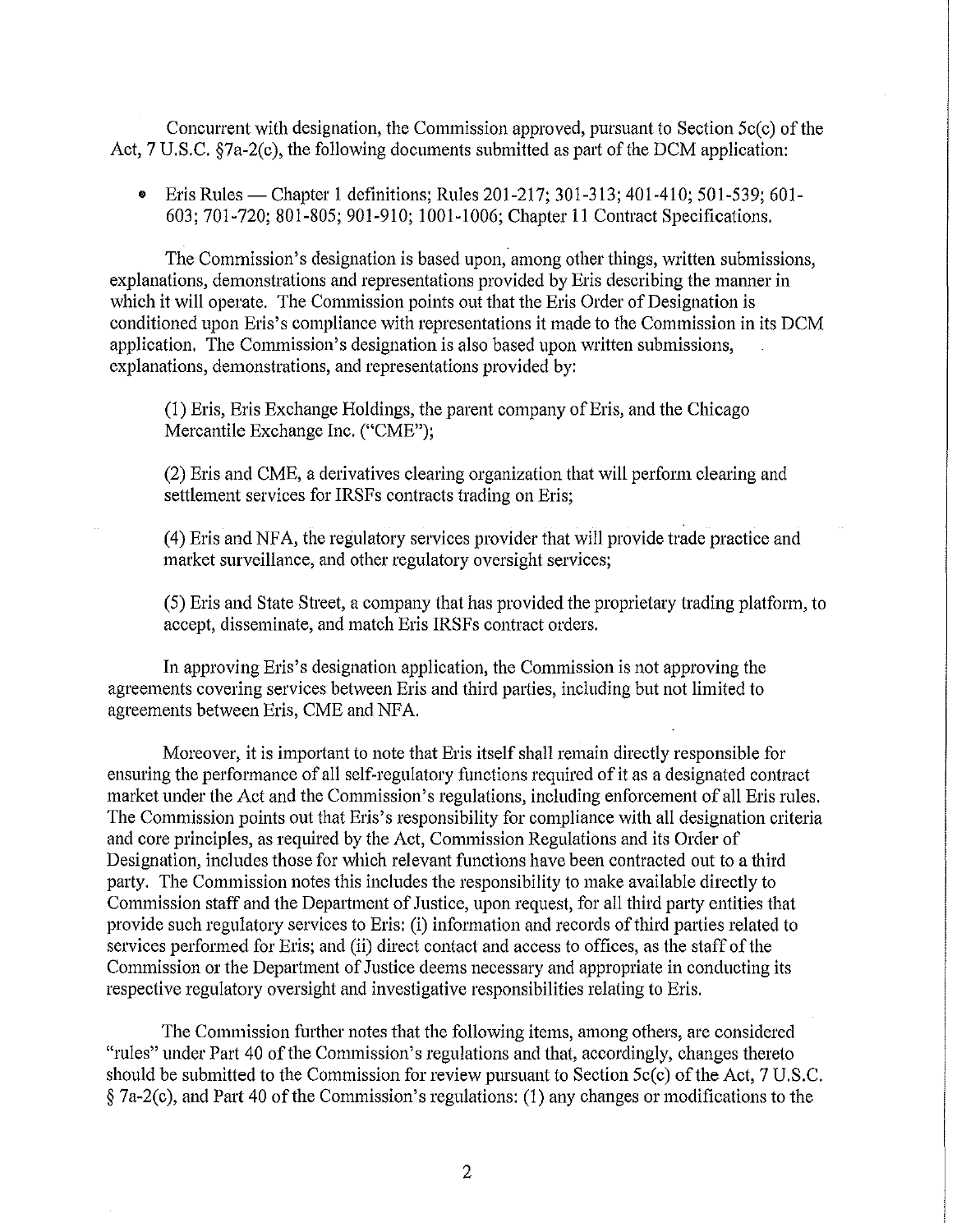Concurrent with designation, the Commission approved, pursuant to Section  $5c(c)$  of the Act,  $7 \text{ U.S.C. }$   $$7a-2(c)$ , the following documents submitted as part of the DCM application:

• Eris Rules — Chapter 1 definitions; Rules 201-217; 301-313; 401-410; 501-539; 601-603; 701-720; 801-805; 901-910; 1001-1006; Chapter 11 Contract Specifications.

The Commission's designation is based upon, among other things, written submissions, explanations, demonstrations and representations provided by Eris describing the manner in which it will operate. The Commission points out that the Eris Order of Designation is conditioned upon Eris's compliance with representations it made to the Commission in its DCM application. The Commission's designation is also based upon written submissions, explanations, demonstrations, and representations provided by:

(1) Eris, Eris Exchange Holdings, the parent company of Eris, and the Chicago Mercantile Exchange Inc. ("CME");

(2) Eris and CME, a derivatives clearing organization that will perform clearing and settlement services for IRSFs contracts trading on Eris;

(4) Eris and NFA, the regulatory services provider that will provide trade practice and market surveillance, and other regulatory oversight services;

(5) Eris and State Street, a company that has provided the proprietary trading platform, to accept, disseminate, and match Eris IRSFs contract orders.

In approving Eris's designation application, the Commission is not approving the agreements covering services between Eris and third parties, including but not limited to agreements between Eris, CME and NFA.

Moreover, it is important to note that Eris itself shall remain directly responsible for ensuring the performance of all self-regulatory functions required of it as a designated contract market under the Act and the Commission's regulations, including enforcement of all Eris rules. The Commission points out that Eris's responsibility for compliance with all designation criteria and core principles, as required by the Act, Commission Regulations and its Order of Designation, includes those for which relevant functions have been contracted out to a third party. The Commission notes this includes the responsibility to make available directly to Commission staff and the Department of Justice, upon request, for all third party entities that provide such regulatory services to Eris: (i) information and records of third parties related to services performed for Eris; and (ii) direct contact and access to offices, as the staff of the Commission or the Department of Justice deems necessary and appropriate in conducting its respective regulatory oversight and investigative responsibilities relating to Eris.

The Commission further notes that the following items, among others, are considered "rules" under Part 40 of the Commission's regulations and that, accordingly, changes thereto should be submitted to the Commission for review pursuant to Section  $5c(c)$  of the Act, 7 U.S.C.  $§$  7a-2(c), and Part 40 of the Commission's regulations: (1) any changes or modifications to the